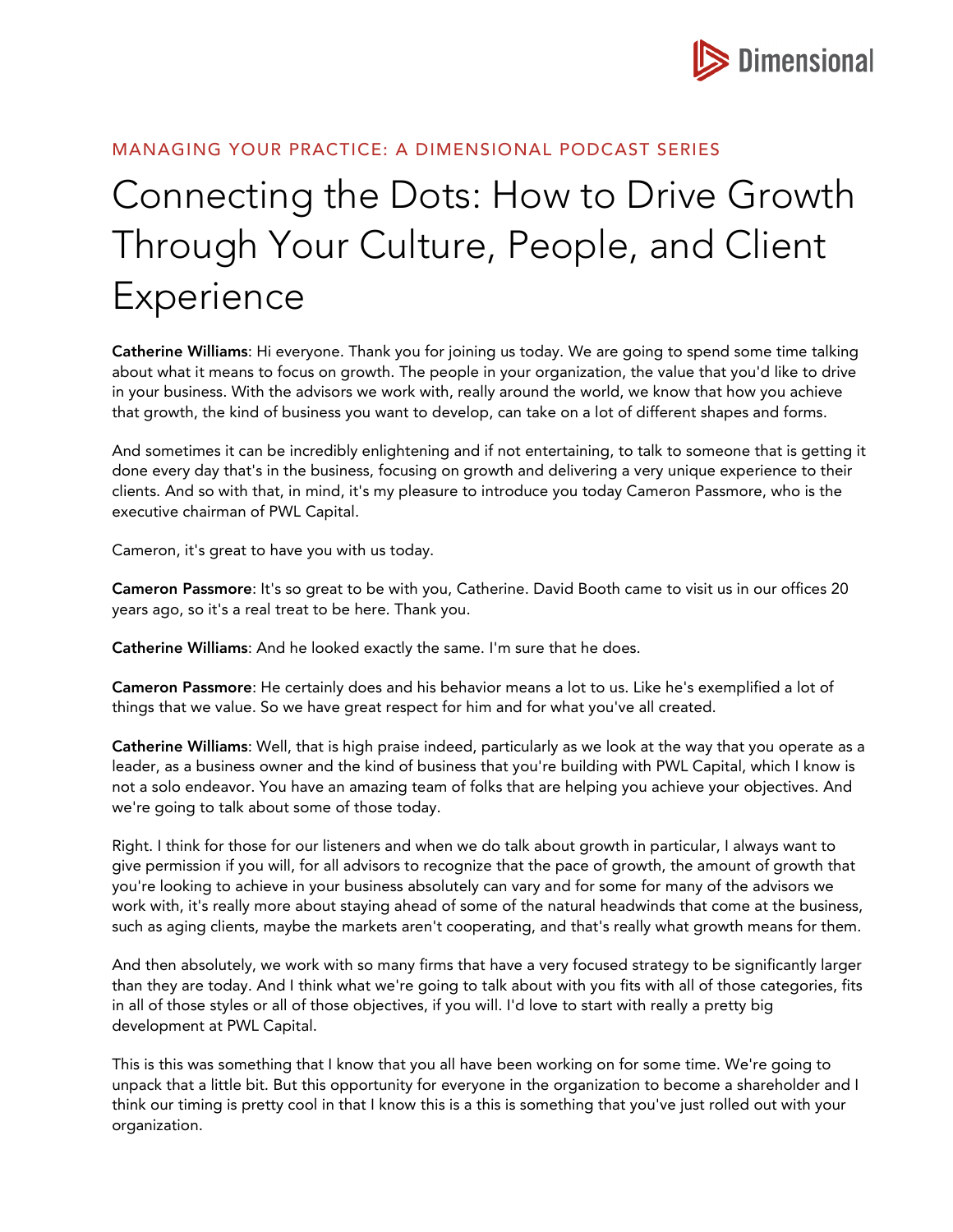

## MANAGING YOUR PRACTICE: A DIMENSIONAL PODCAST SERIES

## Connecting the Dots: How to Drive Growth Through Your Culture, People, and Client Experience

Catherine Williams: Hi everyone. Thank you for joining us today. We are going to spend some time talking about what it means to focus on growth. The people in your organization, the value that you'd like to drive in your business. With the advisors we work with, really around the world, we know that how you achieve that growth, the kind of business you want to develop, can take on a lot of different shapes and forms.

And sometimes it can be incredibly enlightening and if not entertaining, to talk to someone that is getting it done every day that's in the business, focusing on growth and delivering a very unique experience to their clients. And so with that, in mind, it's my pleasure to introduce you today Cameron Passmore, who is the executive chairman of PWL Capital.

Cameron, it's great to have you with us today.

Cameron Passmore: It's so great to be with you, Catherine. David Booth came to visit us in our offices 20 years ago, so it's a real treat to be here. Thank you.

Catherine Williams: And he looked exactly the same. I'm sure that he does.

Cameron Passmore: He certainly does and his behavior means a lot to us. Like he's exemplified a lot of things that we value. So we have great respect for him and for what you've all created.

Catherine Williams: Well, that is high praise indeed, particularly as we look at the way that you operate as a leader, as a business owner and the kind of business that you're building with PWL Capital, which I know is not a solo endeavor. You have an amazing team of folks that are helping you achieve your objectives. And we're going to talk about some of those today.

Right. I think for those for our listeners and when we do talk about growth in particular, I always want to give permission if you will, for all advisors to recognize that the pace of growth, the amount of growth that you're looking to achieve in your business absolutely can vary and for some for many of the advisors we work with, it's really more about staying ahead of some of the natural headwinds that come at the business, such as aging clients, maybe the markets aren't cooperating, and that's really what growth means for them.

And then absolutely, we work with so many firms that have a very focused strategy to be significantly larger than they are today. And I think what we're going to talk about with you fits with all of those categories, fits in all of those styles or all of those objectives, if you will. I'd love to start with really a pretty big development at PWL Capital.

This is this was something that I know that you all have been working on for some time. We're going to unpack that a little bit. But this opportunity for everyone in the organization to become a shareholder and I think our timing is pretty cool in that I know this is a this is something that you've just rolled out with your organization.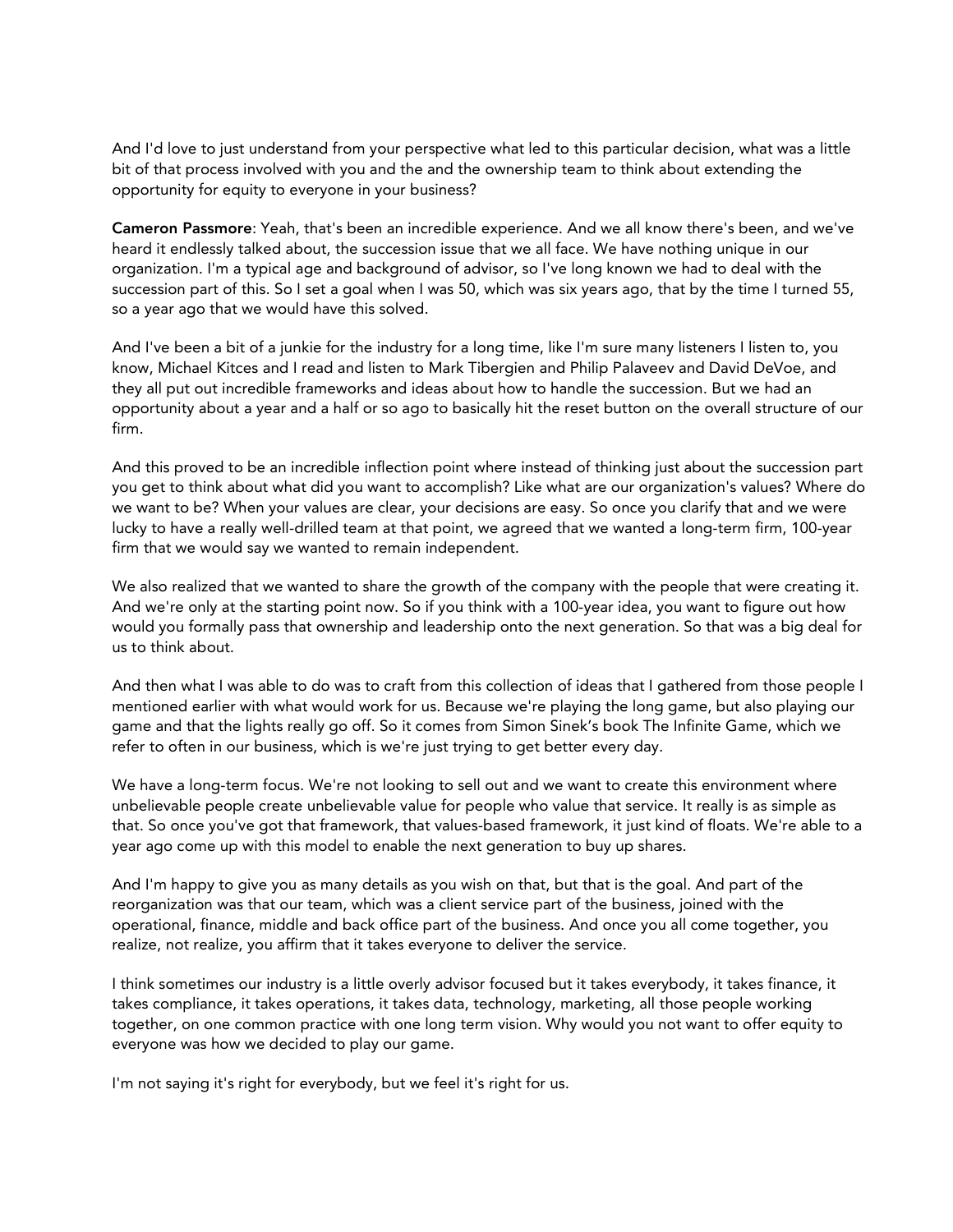And I'd love to just understand from your perspective what led to this particular decision, what was a little bit of that process involved with you and the and the ownership team to think about extending the opportunity for equity to everyone in your business?

Cameron Passmore: Yeah, that's been an incredible experience. And we all know there's been, and we've heard it endlessly talked about, the succession issue that we all face. We have nothing unique in our organization. I'm a typical age and background of advisor, so I've long known we had to deal with the succession part of this. So I set a goal when I was 50, which was six years ago, that by the time I turned 55, so a year ago that we would have this solved.

And I've been a bit of a junkie for the industry for a long time, like I'm sure many listeners I listen to, you know, Michael Kitces and I read and listen to Mark Tibergien and Philip Palaveev and David DeVoe, and they all put out incredible frameworks and ideas about how to handle the succession. But we had an opportunity about a year and a half or so ago to basically hit the reset button on the overall structure of our firm.

And this proved to be an incredible inflection point where instead of thinking just about the succession part you get to think about what did you want to accomplish? Like what are our organization's values? Where do we want to be? When your values are clear, your decisions are easy. So once you clarify that and we were lucky to have a really well-drilled team at that point, we agreed that we wanted a long-term firm, 100-year firm that we would say we wanted to remain independent.

We also realized that we wanted to share the growth of the company with the people that were creating it. And we're only at the starting point now. So if you think with a 100-year idea, you want to figure out how would you formally pass that ownership and leadership onto the next generation. So that was a big deal for us to think about.

And then what I was able to do was to craft from this collection of ideas that I gathered from those people I mentioned earlier with what would work for us. Because we're playing the long game, but also playing our game and that the lights really go off. So it comes from Simon Sinek's book The Infinite Game, which we refer to often in our business, which is we're just trying to get better every day.

We have a long-term focus. We're not looking to sell out and we want to create this environment where unbelievable people create unbelievable value for people who value that service. It really is as simple as that. So once you've got that framework, that values-based framework, it just kind of floats. We're able to a year ago come up with this model to enable the next generation to buy up shares.

And I'm happy to give you as many details as you wish on that, but that is the goal. And part of the reorganization was that our team, which was a client service part of the business, joined with the operational, finance, middle and back office part of the business. And once you all come together, you realize, not realize, you affirm that it takes everyone to deliver the service.

I think sometimes our industry is a little overly advisor focused but it takes everybody, it takes finance, it takes compliance, it takes operations, it takes data, technology, marketing, all those people working together, on one common practice with one long term vision. Why would you not want to offer equity to everyone was how we decided to play our game.

I'm not saying it's right for everybody, but we feel it's right for us.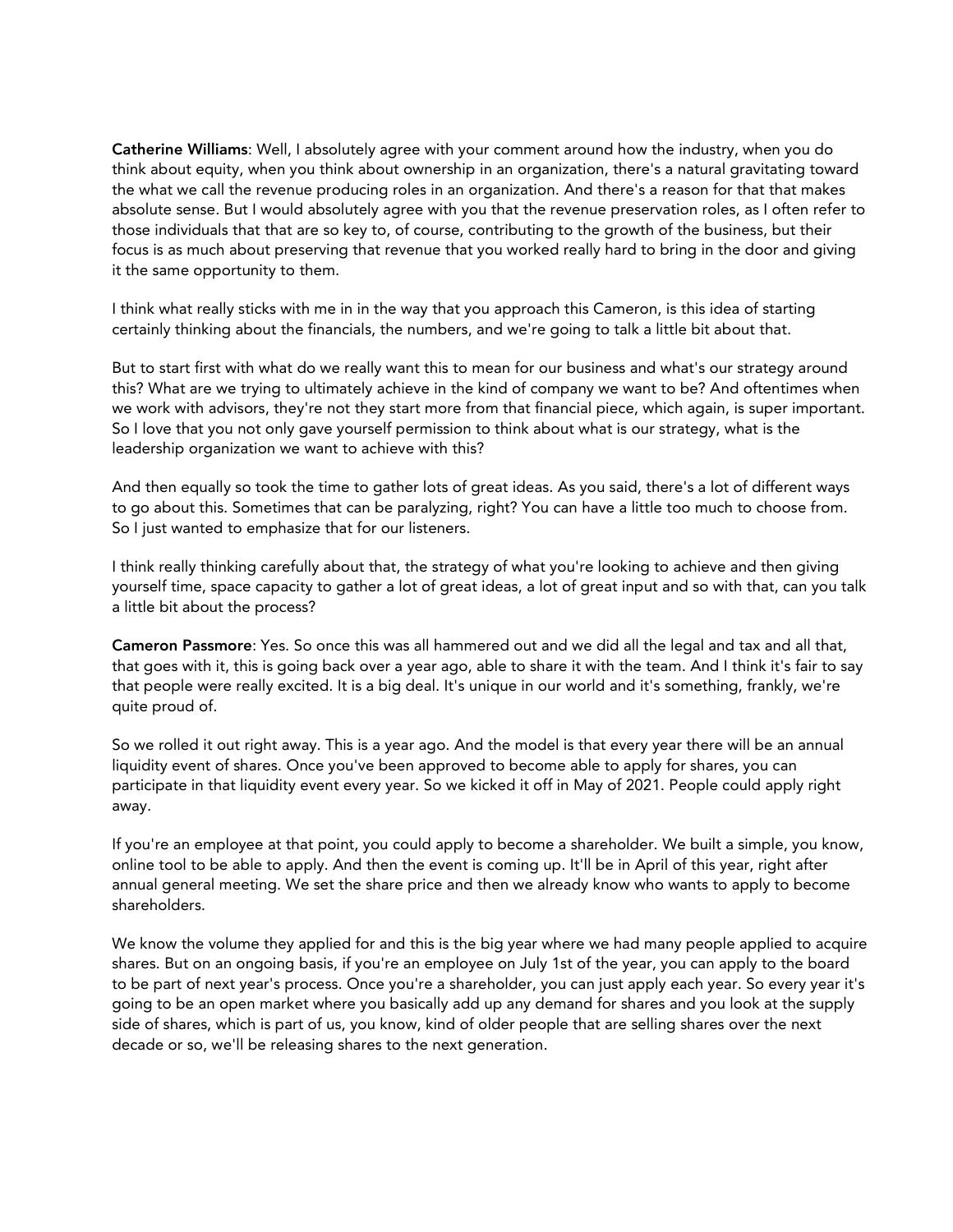Catherine Williams: Well, I absolutely agree with your comment around how the industry, when you do think about equity, when you think about ownership in an organization, there's a natural gravitating toward the what we call the revenue producing roles in an organization. And there's a reason for that that makes absolute sense. But I would absolutely agree with you that the revenue preservation roles, as I often refer to those individuals that that are so key to, of course, contributing to the growth of the business, but their focus is as much about preserving that revenue that you worked really hard to bring in the door and giving it the same opportunity to them.

I think what really sticks with me in in the way that you approach this Cameron, is this idea of starting certainly thinking about the financials, the numbers, and we're going to talk a little bit about that.

But to start first with what do we really want this to mean for our business and what's our strategy around this? What are we trying to ultimately achieve in the kind of company we want to be? And oftentimes when we work with advisors, they're not they start more from that financial piece, which again, is super important. So I love that you not only gave yourself permission to think about what is our strategy, what is the leadership organization we want to achieve with this?

And then equally so took the time to gather lots of great ideas. As you said, there's a lot of different ways to go about this. Sometimes that can be paralyzing, right? You can have a little too much to choose from. So I just wanted to emphasize that for our listeners.

I think really thinking carefully about that, the strategy of what you're looking to achieve and then giving yourself time, space capacity to gather a lot of great ideas, a lot of great input and so with that, can you talk a little bit about the process?

Cameron Passmore: Yes. So once this was all hammered out and we did all the legal and tax and all that, that goes with it, this is going back over a year ago, able to share it with the team. And I think it's fair to say that people were really excited. It is a big deal. It's unique in our world and it's something, frankly, we're quite proud of.

So we rolled it out right away. This is a year ago. And the model is that every year there will be an annual liquidity event of shares. Once you've been approved to become able to apply for shares, you can participate in that liquidity event every year. So we kicked it off in May of 2021. People could apply right away.

If you're an employee at that point, you could apply to become a shareholder. We built a simple, you know, online tool to be able to apply. And then the event is coming up. It'll be in April of this year, right after annual general meeting. We set the share price and then we already know who wants to apply to become shareholders.

We know the volume they applied for and this is the big year where we had many people applied to acquire shares. But on an ongoing basis, if you're an employee on July 1st of the year, you can apply to the board to be part of next year's process. Once you're a shareholder, you can just apply each year. So every year it's going to be an open market where you basically add up any demand for shares and you look at the supply side of shares, which is part of us, you know, kind of older people that are selling shares over the next decade or so, we'll be releasing shares to the next generation.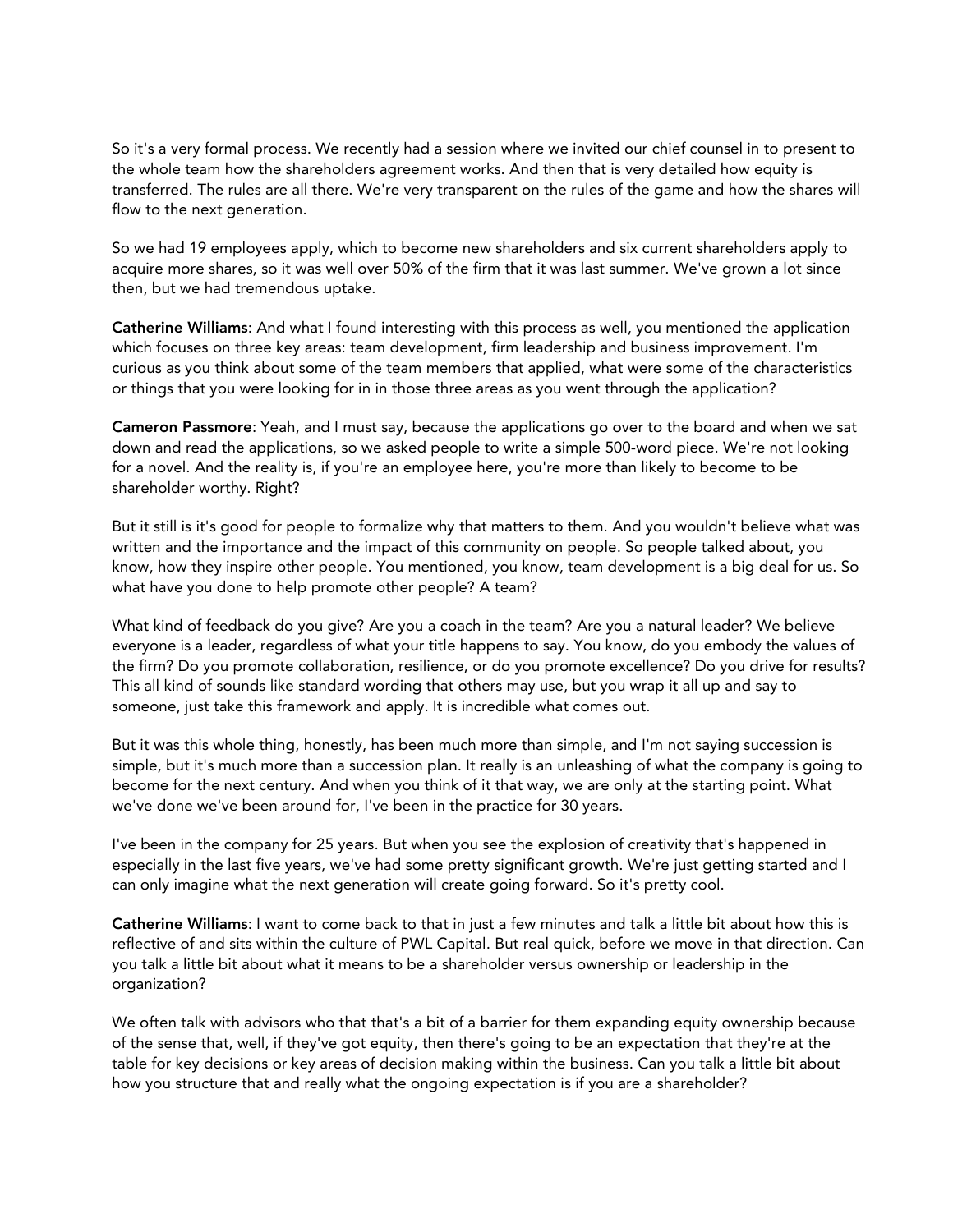So it's a very formal process. We recently had a session where we invited our chief counsel in to present to the whole team how the shareholders agreement works. And then that is very detailed how equity is transferred. The rules are all there. We're very transparent on the rules of the game and how the shares will flow to the next generation.

So we had 19 employees apply, which to become new shareholders and six current shareholders apply to acquire more shares, so it was well over 50% of the firm that it was last summer. We've grown a lot since then, but we had tremendous uptake.

Catherine Williams: And what I found interesting with this process as well, you mentioned the application which focuses on three key areas: team development, firm leadership and business improvement. I'm curious as you think about some of the team members that applied, what were some of the characteristics or things that you were looking for in in those three areas as you went through the application?

Cameron Passmore: Yeah, and I must say, because the applications go over to the board and when we sat down and read the applications, so we asked people to write a simple 500-word piece. We're not looking for a novel. And the reality is, if you're an employee here, you're more than likely to become to be shareholder worthy. Right?

But it still is it's good for people to formalize why that matters to them. And you wouldn't believe what was written and the importance and the impact of this community on people. So people talked about, you know, how they inspire other people. You mentioned, you know, team development is a big deal for us. So what have you done to help promote other people? A team?

What kind of feedback do you give? Are you a coach in the team? Are you a natural leader? We believe everyone is a leader, regardless of what your title happens to say. You know, do you embody the values of the firm? Do you promote collaboration, resilience, or do you promote excellence? Do you drive for results? This all kind of sounds like standard wording that others may use, but you wrap it all up and say to someone, just take this framework and apply. It is incredible what comes out.

But it was this whole thing, honestly, has been much more than simple, and I'm not saying succession is simple, but it's much more than a succession plan. It really is an unleashing of what the company is going to become for the next century. And when you think of it that way, we are only at the starting point. What we've done we've been around for, I've been in the practice for 30 years.

I've been in the company for 25 years. But when you see the explosion of creativity that's happened in especially in the last five years, we've had some pretty significant growth. We're just getting started and I can only imagine what the next generation will create going forward. So it's pretty cool.

Catherine Williams: I want to come back to that in just a few minutes and talk a little bit about how this is reflective of and sits within the culture of PWL Capital. But real quick, before we move in that direction. Can you talk a little bit about what it means to be a shareholder versus ownership or leadership in the organization?

We often talk with advisors who that that's a bit of a barrier for them expanding equity ownership because of the sense that, well, if they've got equity, then there's going to be an expectation that they're at the table for key decisions or key areas of decision making within the business. Can you talk a little bit about how you structure that and really what the ongoing expectation is if you are a shareholder?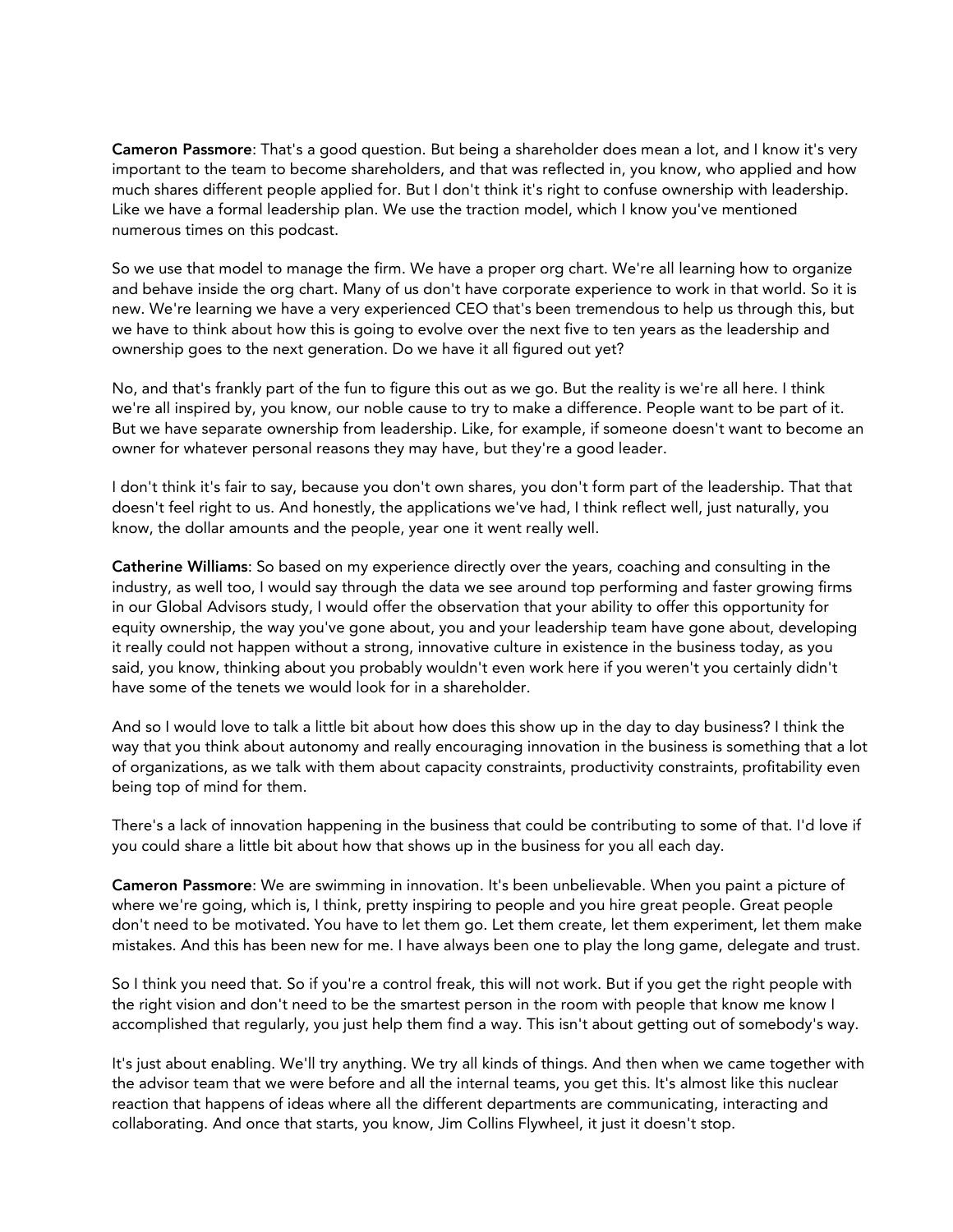Cameron Passmore: That's a good question. But being a shareholder does mean a lot, and I know it's very important to the team to become shareholders, and that was reflected in, you know, who applied and how much shares different people applied for. But I don't think it's right to confuse ownership with leadership. Like we have a formal leadership plan. We use the traction model, which I know you've mentioned numerous times on this podcast.

So we use that model to manage the firm. We have a proper org chart. We're all learning how to organize and behave inside the org chart. Many of us don't have corporate experience to work in that world. So it is new. We're learning we have a very experienced CEO that's been tremendous to help us through this, but we have to think about how this is going to evolve over the next five to ten years as the leadership and ownership goes to the next generation. Do we have it all figured out yet?

No, and that's frankly part of the fun to figure this out as we go. But the reality is we're all here. I think we're all inspired by, you know, our noble cause to try to make a difference. People want to be part of it. But we have separate ownership from leadership. Like, for example, if someone doesn't want to become an owner for whatever personal reasons they may have, but they're a good leader.

I don't think it's fair to say, because you don't own shares, you don't form part of the leadership. That that doesn't feel right to us. And honestly, the applications we've had, I think reflect well, just naturally, you know, the dollar amounts and the people, year one it went really well.

Catherine Williams: So based on my experience directly over the years, coaching and consulting in the industry, as well too, I would say through the data we see around top performing and faster growing firms in our Global Advisors study, I would offer the observation that your ability to offer this opportunity for equity ownership, the way you've gone about, you and your leadership team have gone about, developing it really could not happen without a strong, innovative culture in existence in the business today, as you said, you know, thinking about you probably wouldn't even work here if you weren't you certainly didn't have some of the tenets we would look for in a shareholder.

And so I would love to talk a little bit about how does this show up in the day to day business? I think the way that you think about autonomy and really encouraging innovation in the business is something that a lot of organizations, as we talk with them about capacity constraints, productivity constraints, profitability even being top of mind for them.

There's a lack of innovation happening in the business that could be contributing to some of that. I'd love if you could share a little bit about how that shows up in the business for you all each day.

Cameron Passmore: We are swimming in innovation. It's been unbelievable. When you paint a picture of where we're going, which is, I think, pretty inspiring to people and you hire great people. Great people don't need to be motivated. You have to let them go. Let them create, let them experiment, let them make mistakes. And this has been new for me. I have always been one to play the long game, delegate and trust.

So I think you need that. So if you're a control freak, this will not work. But if you get the right people with the right vision and don't need to be the smartest person in the room with people that know me know I accomplished that regularly, you just help them find a way. This isn't about getting out of somebody's way.

It's just about enabling. We'll try anything. We try all kinds of things. And then when we came together with the advisor team that we were before and all the internal teams, you get this. It's almost like this nuclear reaction that happens of ideas where all the different departments are communicating, interacting and collaborating. And once that starts, you know, Jim Collins Flywheel, it just it doesn't stop.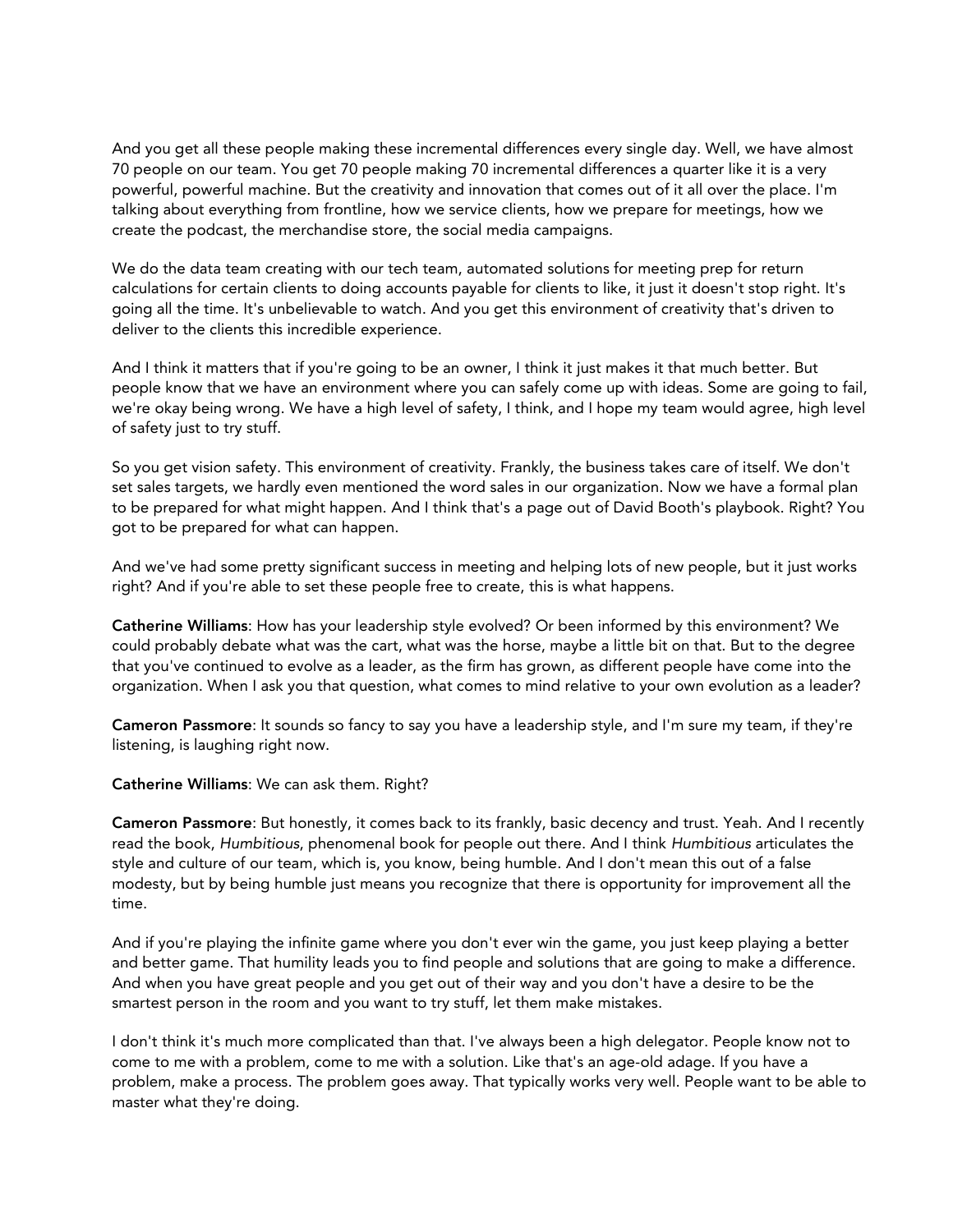And you get all these people making these incremental differences every single day. Well, we have almost 70 people on our team. You get 70 people making 70 incremental differences a quarter like it is a very powerful, powerful machine. But the creativity and innovation that comes out of it all over the place. I'm talking about everything from frontline, how we service clients, how we prepare for meetings, how we create the podcast, the merchandise store, the social media campaigns.

We do the data team creating with our tech team, automated solutions for meeting prep for return calculations for certain clients to doing accounts payable for clients to like, it just it doesn't stop right. It's going all the time. It's unbelievable to watch. And you get this environment of creativity that's driven to deliver to the clients this incredible experience.

And I think it matters that if you're going to be an owner, I think it just makes it that much better. But people know that we have an environment where you can safely come up with ideas. Some are going to fail, we're okay being wrong. We have a high level of safety, I think, and I hope my team would agree, high level of safety just to try stuff.

So you get vision safety. This environment of creativity. Frankly, the business takes care of itself. We don't set sales targets, we hardly even mentioned the word sales in our organization. Now we have a formal plan to be prepared for what might happen. And I think that's a page out of David Booth's playbook. Right? You got to be prepared for what can happen.

And we've had some pretty significant success in meeting and helping lots of new people, but it just works right? And if you're able to set these people free to create, this is what happens.

Catherine Williams: How has your leadership style evolved? Or been informed by this environment? We could probably debate what was the cart, what was the horse, maybe a little bit on that. But to the degree that you've continued to evolve as a leader, as the firm has grown, as different people have come into the organization. When I ask you that question, what comes to mind relative to your own evolution as a leader?

Cameron Passmore: It sounds so fancy to say you have a leadership style, and I'm sure my team, if they're listening, is laughing right now.

Catherine Williams: We can ask them. Right?

Cameron Passmore: But honestly, it comes back to its frankly, basic decency and trust. Yeah. And I recently read the book, *Humbitious*, phenomenal book for people out there. And I think *Humbitious* articulates the style and culture of our team, which is, you know, being humble. And I don't mean this out of a false modesty, but by being humble just means you recognize that there is opportunity for improvement all the time.

And if you're playing the infinite game where you don't ever win the game, you just keep playing a better and better game. That humility leads you to find people and solutions that are going to make a difference. And when you have great people and you get out of their way and you don't have a desire to be the smartest person in the room and you want to try stuff, let them make mistakes.

I don't think it's much more complicated than that. I've always been a high delegator. People know not to come to me with a problem, come to me with a solution. Like that's an age-old adage. If you have a problem, make a process. The problem goes away. That typically works very well. People want to be able to master what they're doing.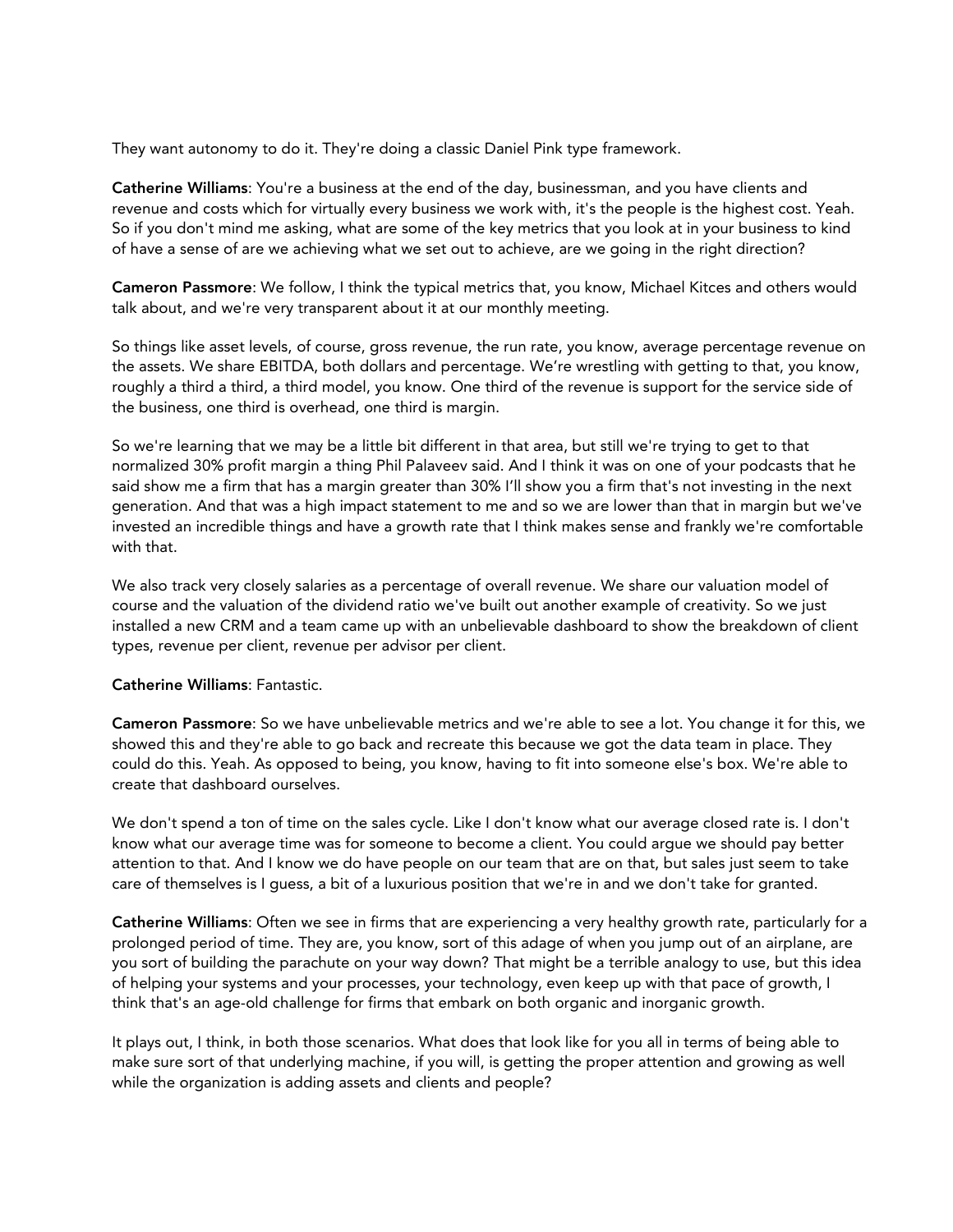They want autonomy to do it. They're doing a classic Daniel Pink type framework.

Catherine Williams: You're a business at the end of the day, businessman, and you have clients and revenue and costs which for virtually every business we work with, it's the people is the highest cost. Yeah. So if you don't mind me asking, what are some of the key metrics that you look at in your business to kind of have a sense of are we achieving what we set out to achieve, are we going in the right direction?

Cameron Passmore: We follow, I think the typical metrics that, you know, Michael Kitces and others would talk about, and we're very transparent about it at our monthly meeting.

So things like asset levels, of course, gross revenue, the run rate, you know, average percentage revenue on the assets. We share EBITDA, both dollars and percentage. We're wrestling with getting to that, you know, roughly a third a third, a third model, you know. One third of the revenue is support for the service side of the business, one third is overhead, one third is margin.

So we're learning that we may be a little bit different in that area, but still we're trying to get to that normalized 30% profit margin a thing Phil Palaveev said. And I think it was on one of your podcasts that he said show me a firm that has a margin greater than 30% I'll show you a firm that's not investing in the next generation. And that was a high impact statement to me and so we are lower than that in margin but we've invested an incredible things and have a growth rate that I think makes sense and frankly we're comfortable with that.

We also track very closely salaries as a percentage of overall revenue. We share our valuation model of course and the valuation of the dividend ratio we've built out another example of creativity. So we just installed a new CRM and a team came up with an unbelievable dashboard to show the breakdown of client types, revenue per client, revenue per advisor per client.

## Catherine Williams: Fantastic.

Cameron Passmore: So we have unbelievable metrics and we're able to see a lot. You change it for this, we showed this and they're able to go back and recreate this because we got the data team in place. They could do this. Yeah. As opposed to being, you know, having to fit into someone else's box. We're able to create that dashboard ourselves.

We don't spend a ton of time on the sales cycle. Like I don't know what our average closed rate is. I don't know what our average time was for someone to become a client. You could argue we should pay better attention to that. And I know we do have people on our team that are on that, but sales just seem to take care of themselves is I guess, a bit of a luxurious position that we're in and we don't take for granted.

Catherine Williams: Often we see in firms that are experiencing a very healthy growth rate, particularly for a prolonged period of time. They are, you know, sort of this adage of when you jump out of an airplane, are you sort of building the parachute on your way down? That might be a terrible analogy to use, but this idea of helping your systems and your processes, your technology, even keep up with that pace of growth, I think that's an age-old challenge for firms that embark on both organic and inorganic growth.

It plays out, I think, in both those scenarios. What does that look like for you all in terms of being able to make sure sort of that underlying machine, if you will, is getting the proper attention and growing as well while the organization is adding assets and clients and people?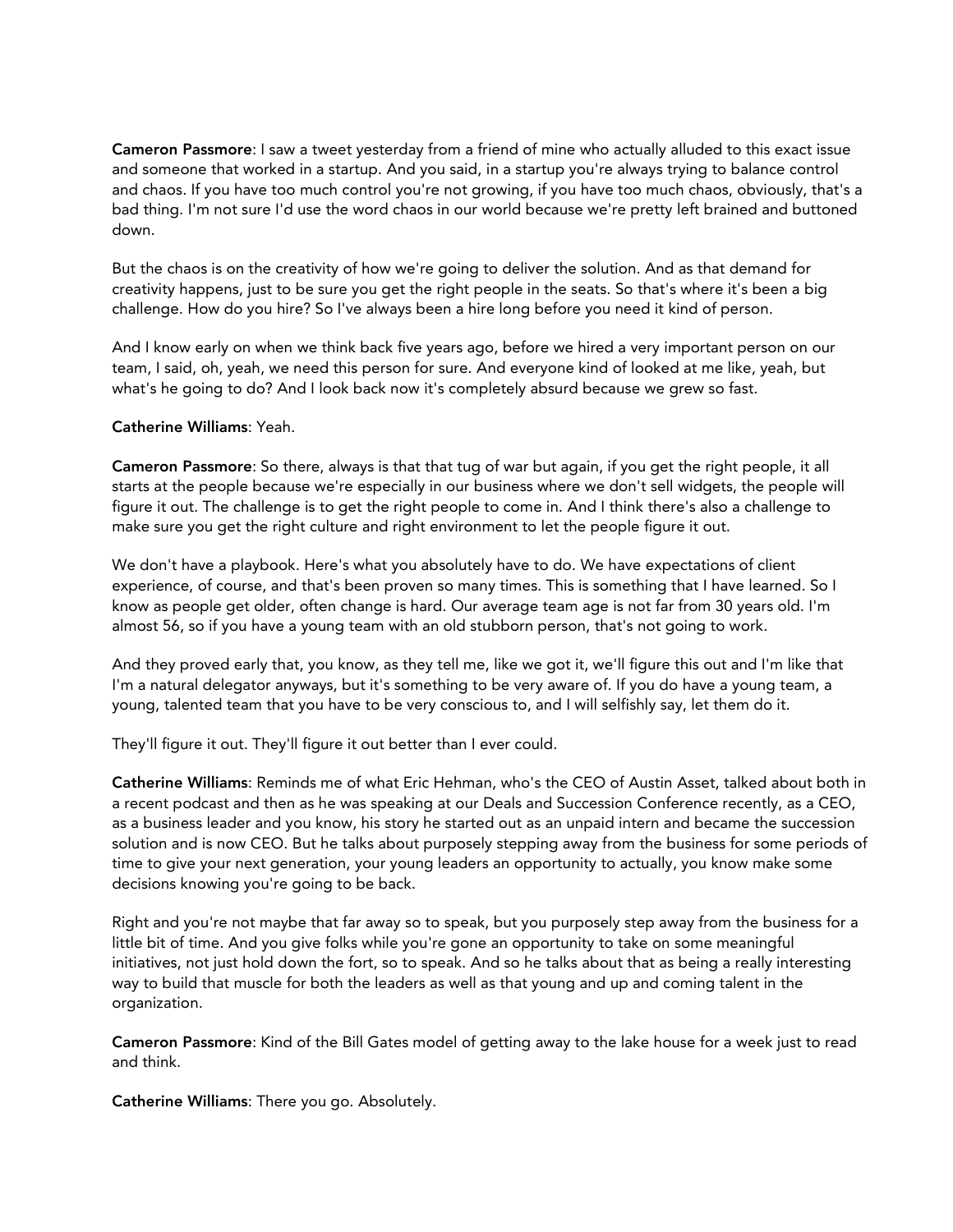Cameron Passmore: I saw a tweet yesterday from a friend of mine who actually alluded to this exact issue and someone that worked in a startup. And you said, in a startup you're always trying to balance control and chaos. If you have too much control you're not growing, if you have too much chaos, obviously, that's a bad thing. I'm not sure I'd use the word chaos in our world because we're pretty left brained and buttoned down.

But the chaos is on the creativity of how we're going to deliver the solution. And as that demand for creativity happens, just to be sure you get the right people in the seats. So that's where it's been a big challenge. How do you hire? So I've always been a hire long before you need it kind of person.

And I know early on when we think back five years ago, before we hired a very important person on our team, I said, oh, yeah, we need this person for sure. And everyone kind of looked at me like, yeah, but what's he going to do? And I look back now it's completely absurd because we grew so fast.

## Catherine Williams: Yeah.

Cameron Passmore: So there, always is that that tug of war but again, if you get the right people, it all starts at the people because we're especially in our business where we don't sell widgets, the people will figure it out. The challenge is to get the right people to come in. And I think there's also a challenge to make sure you get the right culture and right environment to let the people figure it out.

We don't have a playbook. Here's what you absolutely have to do. We have expectations of client experience, of course, and that's been proven so many times. This is something that I have learned. So I know as people get older, often change is hard. Our average team age is not far from 30 years old. I'm almost 56, so if you have a young team with an old stubborn person, that's not going to work.

And they proved early that, you know, as they tell me, like we got it, we'll figure this out and I'm like that I'm a natural delegator anyways, but it's something to be very aware of. If you do have a young team, a young, talented team that you have to be very conscious to, and I will selfishly say, let them do it.

They'll figure it out. They'll figure it out better than I ever could.

Catherine Williams: Reminds me of what Eric Hehman, who's the CEO of Austin Asset, talked about both in a recent podcast and then as he was speaking at our Deals and Succession Conference recently, as a CEO, as a business leader and you know, his story he started out as an unpaid intern and became the succession solution and is now CEO. But he talks about purposely stepping away from the business for some periods of time to give your next generation, your young leaders an opportunity to actually, you know make some decisions knowing you're going to be back.

Right and you're not maybe that far away so to speak, but you purposely step away from the business for a little bit of time. And you give folks while you're gone an opportunity to take on some meaningful initiatives, not just hold down the fort, so to speak. And so he talks about that as being a really interesting way to build that muscle for both the leaders as well as that young and up and coming talent in the organization.

Cameron Passmore: Kind of the Bill Gates model of getting away to the lake house for a week just to read and think.

Catherine Williams: There you go. Absolutely.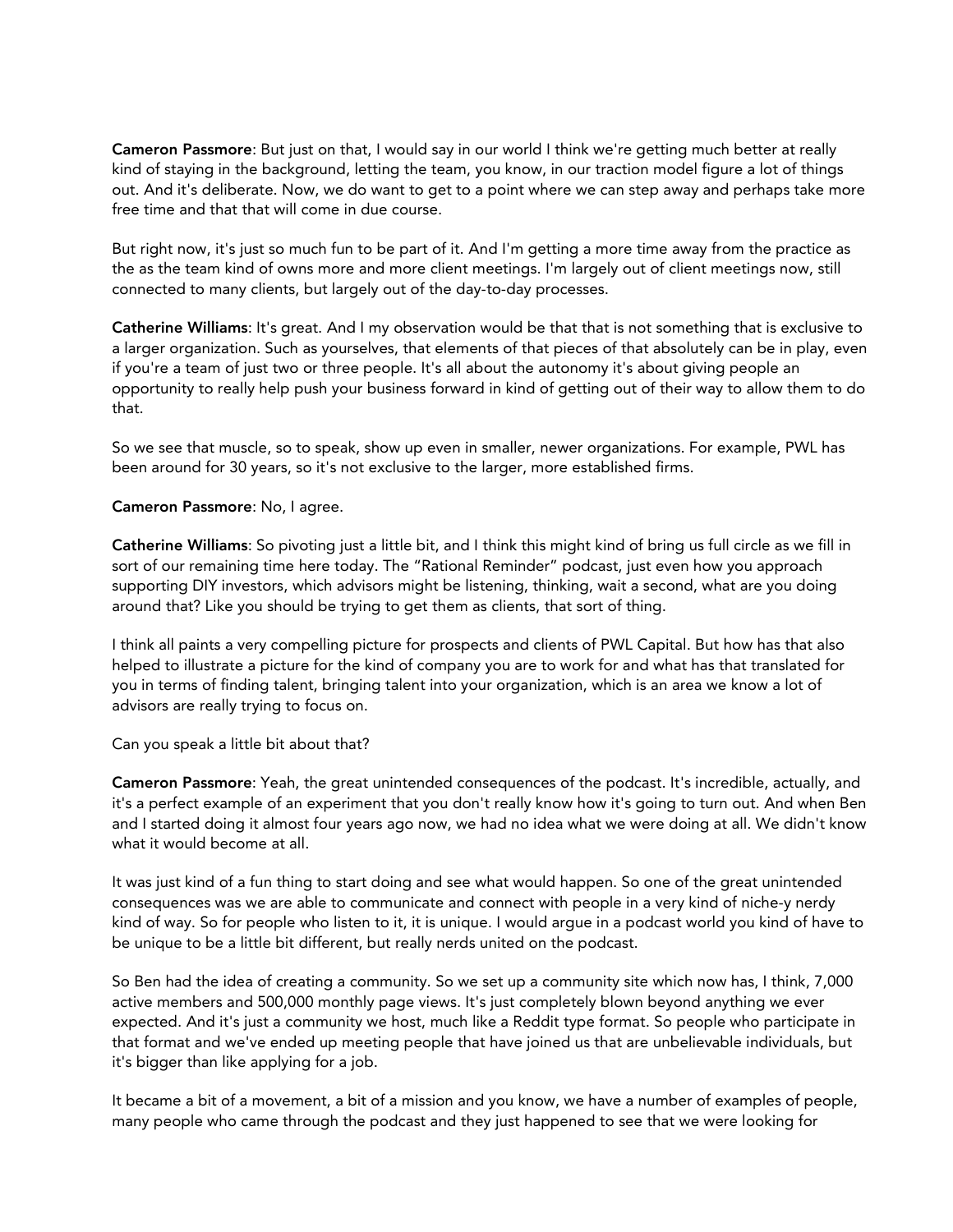Cameron Passmore: But just on that, I would say in our world I think we're getting much better at really kind of staying in the background, letting the team, you know, in our traction model figure a lot of things out. And it's deliberate. Now, we do want to get to a point where we can step away and perhaps take more free time and that that will come in due course.

But right now, it's just so much fun to be part of it. And I'm getting a more time away from the practice as the as the team kind of owns more and more client meetings. I'm largely out of client meetings now, still connected to many clients, but largely out of the day-to-day processes.

Catherine Williams: It's great. And I my observation would be that that is not something that is exclusive to a larger organization. Such as yourselves, that elements of that pieces of that absolutely can be in play, even if you're a team of just two or three people. It's all about the autonomy it's about giving people an opportunity to really help push your business forward in kind of getting out of their way to allow them to do that.

So we see that muscle, so to speak, show up even in smaller, newer organizations. For example, PWL has been around for 30 years, so it's not exclusive to the larger, more established firms.

Cameron Passmore: No, I agree.

Catherine Williams: So pivoting just a little bit, and I think this might kind of bring us full circle as we fill in sort of our remaining time here today. The "Rational Reminder" podcast, just even how you approach supporting DIY investors, which advisors might be listening, thinking, wait a second, what are you doing around that? Like you should be trying to get them as clients, that sort of thing.

I think all paints a very compelling picture for prospects and clients of PWL Capital. But how has that also helped to illustrate a picture for the kind of company you are to work for and what has that translated for you in terms of finding talent, bringing talent into your organization, which is an area we know a lot of advisors are really trying to focus on.

Can you speak a little bit about that?

Cameron Passmore: Yeah, the great unintended consequences of the podcast. It's incredible, actually, and it's a perfect example of an experiment that you don't really know how it's going to turn out. And when Ben and I started doing it almost four years ago now, we had no idea what we were doing at all. We didn't know what it would become at all.

It was just kind of a fun thing to start doing and see what would happen. So one of the great unintended consequences was we are able to communicate and connect with people in a very kind of niche-y nerdy kind of way. So for people who listen to it, it is unique. I would argue in a podcast world you kind of have to be unique to be a little bit different, but really nerds united on the podcast.

So Ben had the idea of creating a community. So we set up a community site which now has, I think, 7,000 active members and 500,000 monthly page views. It's just completely blown beyond anything we ever expected. And it's just a community we host, much like a Reddit type format. So people who participate in that format and we've ended up meeting people that have joined us that are unbelievable individuals, but it's bigger than like applying for a job.

It became a bit of a movement, a bit of a mission and you know, we have a number of examples of people, many people who came through the podcast and they just happened to see that we were looking for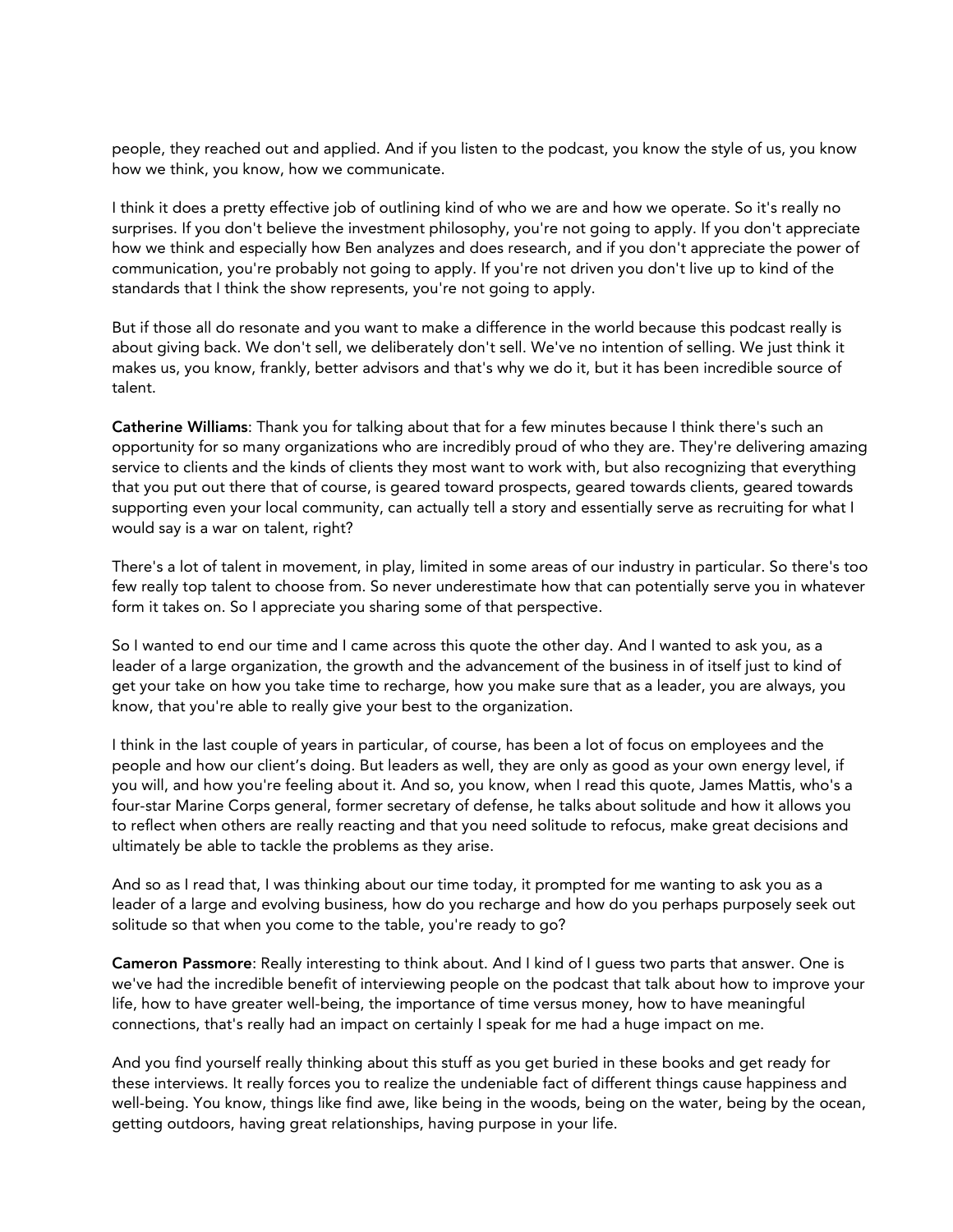people, they reached out and applied. And if you listen to the podcast, you know the style of us, you know how we think, you know, how we communicate.

I think it does a pretty effective job of outlining kind of who we are and how we operate. So it's really no surprises. If you don't believe the investment philosophy, you're not going to apply. If you don't appreciate how we think and especially how Ben analyzes and does research, and if you don't appreciate the power of communication, you're probably not going to apply. If you're not driven you don't live up to kind of the standards that I think the show represents, you're not going to apply.

But if those all do resonate and you want to make a difference in the world because this podcast really is about giving back. We don't sell, we deliberately don't sell. We've no intention of selling. We just think it makes us, you know, frankly, better advisors and that's why we do it, but it has been incredible source of talent.

Catherine Williams: Thank you for talking about that for a few minutes because I think there's such an opportunity for so many organizations who are incredibly proud of who they are. They're delivering amazing service to clients and the kinds of clients they most want to work with, but also recognizing that everything that you put out there that of course, is geared toward prospects, geared towards clients, geared towards supporting even your local community, can actually tell a story and essentially serve as recruiting for what I would say is a war on talent, right?

There's a lot of talent in movement, in play, limited in some areas of our industry in particular. So there's too few really top talent to choose from. So never underestimate how that can potentially serve you in whatever form it takes on. So I appreciate you sharing some of that perspective.

So I wanted to end our time and I came across this quote the other day. And I wanted to ask you, as a leader of a large organization, the growth and the advancement of the business in of itself just to kind of get your take on how you take time to recharge, how you make sure that as a leader, you are always, you know, that you're able to really give your best to the organization.

I think in the last couple of years in particular, of course, has been a lot of focus on employees and the people and how our client's doing. But leaders as well, they are only as good as your own energy level, if you will, and how you're feeling about it. And so, you know, when I read this quote, James Mattis, who's a four-star Marine Corps general, former secretary of defense, he talks about solitude and how it allows you to reflect when others are really reacting and that you need solitude to refocus, make great decisions and ultimately be able to tackle the problems as they arise.

And so as I read that, I was thinking about our time today, it prompted for me wanting to ask you as a leader of a large and evolving business, how do you recharge and how do you perhaps purposely seek out solitude so that when you come to the table, you're ready to go?

Cameron Passmore: Really interesting to think about. And I kind of I guess two parts that answer. One is we've had the incredible benefit of interviewing people on the podcast that talk about how to improve your life, how to have greater well-being, the importance of time versus money, how to have meaningful connections, that's really had an impact on certainly I speak for me had a huge impact on me.

And you find yourself really thinking about this stuff as you get buried in these books and get ready for these interviews. It really forces you to realize the undeniable fact of different things cause happiness and well-being. You know, things like find awe, like being in the woods, being on the water, being by the ocean, getting outdoors, having great relationships, having purpose in your life.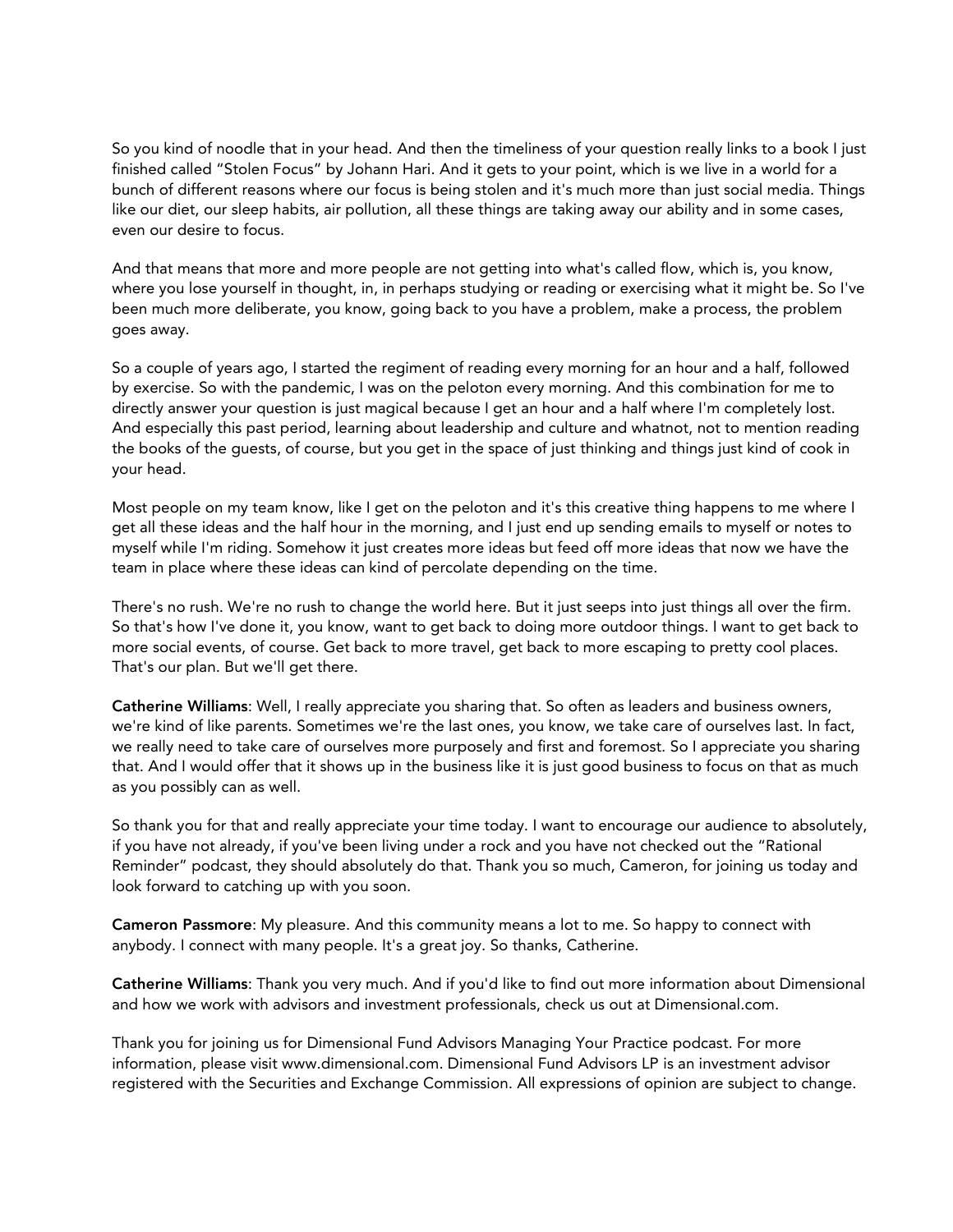So you kind of noodle that in your head. And then the timeliness of your question really links to a book I just finished called "Stolen Focus" by Johann Hari. And it gets to your point, which is we live in a world for a bunch of different reasons where our focus is being stolen and it's much more than just social media. Things like our diet, our sleep habits, air pollution, all these things are taking away our ability and in some cases, even our desire to focus.

And that means that more and more people are not getting into what's called flow, which is, you know, where you lose yourself in thought, in, in perhaps studying or reading or exercising what it might be. So I've been much more deliberate, you know, going back to you have a problem, make a process, the problem goes away.

So a couple of years ago, I started the regiment of reading every morning for an hour and a half, followed by exercise. So with the pandemic, I was on the peloton every morning. And this combination for me to directly answer your question is just magical because I get an hour and a half where I'm completely lost. And especially this past period, learning about leadership and culture and whatnot, not to mention reading the books of the guests, of course, but you get in the space of just thinking and things just kind of cook in your head.

Most people on my team know, like I get on the peloton and it's this creative thing happens to me where I get all these ideas and the half hour in the morning, and I just end up sending emails to myself or notes to myself while I'm riding. Somehow it just creates more ideas but feed off more ideas that now we have the team in place where these ideas can kind of percolate depending on the time.

There's no rush. We're no rush to change the world here. But it just seeps into just things all over the firm. So that's how I've done it, you know, want to get back to doing more outdoor things. I want to get back to more social events, of course. Get back to more travel, get back to more escaping to pretty cool places. That's our plan. But we'll get there.

Catherine Williams: Well, I really appreciate you sharing that. So often as leaders and business owners, we're kind of like parents. Sometimes we're the last ones, you know, we take care of ourselves last. In fact, we really need to take care of ourselves more purposely and first and foremost. So I appreciate you sharing that. And I would offer that it shows up in the business like it is just good business to focus on that as much as you possibly can as well.

So thank you for that and really appreciate your time today. I want to encourage our audience to absolutely, if you have not already, if you've been living under a rock and you have not checked out the "Rational Reminder" podcast, they should absolutely do that. Thank you so much, Cameron, for joining us today and look forward to catching up with you soon.

Cameron Passmore: My pleasure. And this community means a lot to me. So happy to connect with anybody. I connect with many people. It's a great joy. So thanks, Catherine.

Catherine Williams: Thank you very much. And if you'd like to find out more information about Dimensional and how we work with advisors and investment professionals, check us out at Dimensional.com.

Thank you for joining us for Dimensional Fund Advisors Managing Your Practice podcast. For more information, please visit www.dimensional.com. Dimensional Fund Advisors LP is an investment advisor registered with the Securities and Exchange Commission. All expressions of opinion are subject to change.